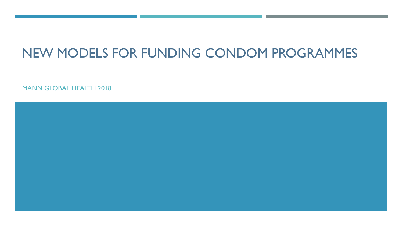## NEW MODELS FOR FUNDING CONDOM PROGRAMMES

MANN GLOBAL HEALTH 2018

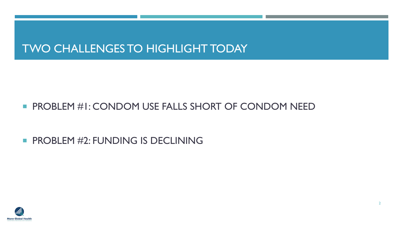## TWO CHALLENGES TO HIGHLIGHT TODAY

#### **PROBLEM #1: CONDOM USE FALLS SHORT OF CONDOM NEED**

#### **PROBLEM #2: FUNDING IS DECLINING**

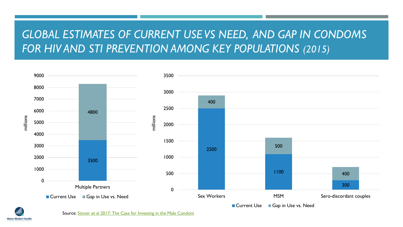## GLOBAL ESTIMATES OF CURRENT USE VS NEED, AND GAP IN CONDOMS FOR HIV AND STI PREVENTION AMONG KEY POPULATIONS (2015)





Source: [Stover et al 2017: The Case for Investing in the Male Condom](http://journals.plos.org/plosone/article/file?id=10.1371/journal.pone.0177108&type=printable)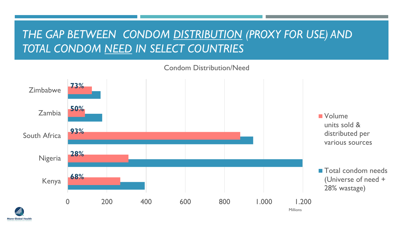## *THE GAP BETWEEN CONDOM DISTRIBUTION (PROXY FOR USE) AND TOTAL CONDOM NEED IN SELECT COUNTRIES*



Condom Distribution/Need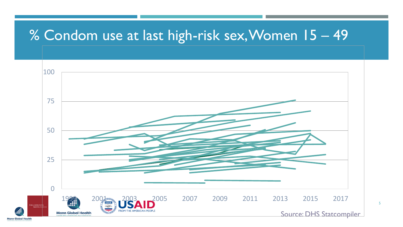## % Condom use at last high-risk sex, Women 15 – 49

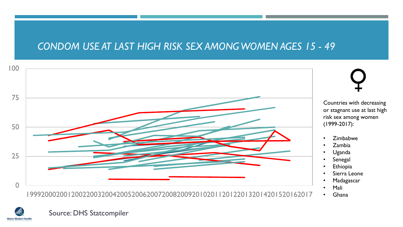#### *CONDOM USE AT LAST HIGH RISK SEX AMONG WOMEN AGES 15 - 49*





Source: DHS Statcompiler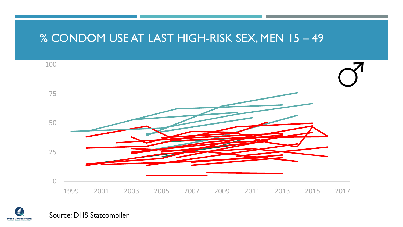#### % CONDOM USE AT LAST HIGH-RISK SEX, MEN 15 – 49





Source: DHS Statcompiler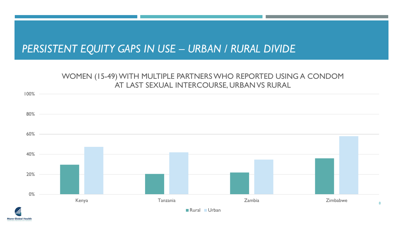### *PERSISTENT EQUITY GAPS IN USE – URBAN / RURAL DIVIDE*

#### WOMEN (15-49) WITH MULTIPLE PARTNERS WHO REPORTED USING A CONDOM AT LAST SEXUAL INTERCOURSE, URBAN VS RURAL

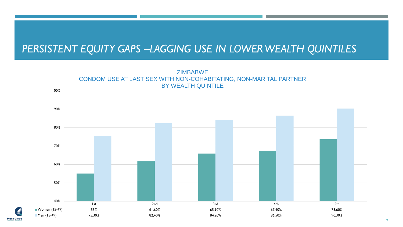### *PERSISTENT EQUITY GAPS –LAGGING USE IN LOWER WEALTH QUINTILES*



**Mann Global**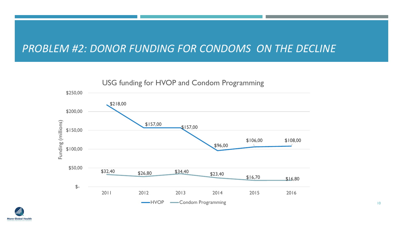#### *PROBLEM #2: DONOR FUNDING FOR CONDOMS ON THE DECLINE*



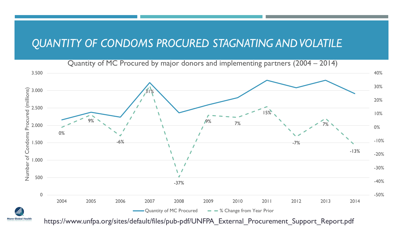#### *QUANTITY OF CONDOMS PROCURED STAGNATING AND VOLATILE*

Quantity of MC Procured by major donors and implementing partners (2004 – 2014)



https://www.unfpa.org/sites/default/files/pub-pdf/UNFPA\_External\_Procurement\_Support\_Report.pdf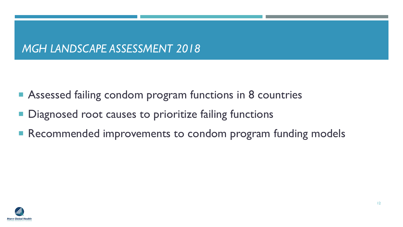## *MGH LANDSCAPE ASSESSMENT 2018*

- Assessed failing condom program functions in 8 countries
- **Diagnosed root causes to prioritize failing functions**
- Recommended improvements to condom program funding models

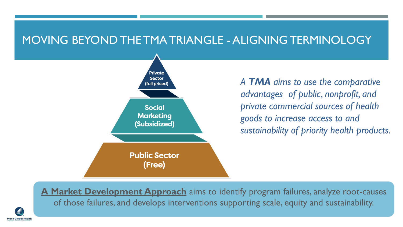#### MOVING BEYOND THE TMA TRIANGLE - ALIGNING TERMINOLOGY



Aann Global Healt

*A TMA aims to use the comparative advantages of public, nonprofit, and private commercial sources of health goods to increase access to and sustainability of priority health products.*

**A Market Development Approach** aims to identify program failures, analyze root-causes of those failures, and develops interventions supporting scale, equity and sustainability.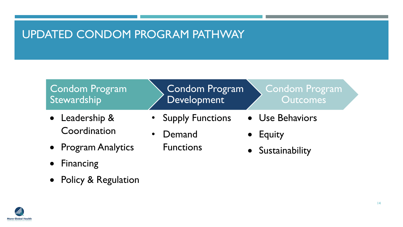### UPDATED CONDOM PROGRAM PATHWAY

#### Condom Program Stewardship

- Leadership & Coordination
- Program Analytics
- Financing
- Policy & Regulation

Condom Program Development

- Supply Functions
- Demand

Functions

- Condom Program **Outcomes**
- Use Behaviors
- Equity
- Sustainability

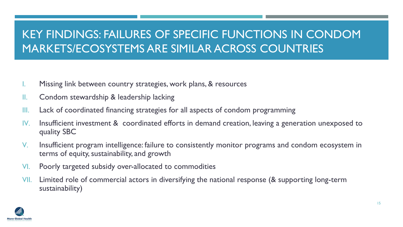## KEY FINDINGS: FAILURES OF SPECIFIC FUNCTIONS IN CONDOM MARKETS/ECOSYSTEMS ARE SIMILAR ACROSS COUNTRIES

- I. Missing link between country strategies, work plans, & resources
- II. Condom stewardship & leadership lacking
- III. Lack of coordinated financing strategies for all aspects of condom programming
- IV. Insufficient investment & coordinated efforts in demand creation, leaving a generation unexposed to quality SBC
- V. Insufficient program intelligence: failure to consistently monitor programs and condom ecosystem in terms of equity, sustainability, and growth
- VI. Poorly targeted subsidy over-allocated to commodities
- VII. Limited role of commercial actors in diversifying the national response (& supporting long-term sustainability)

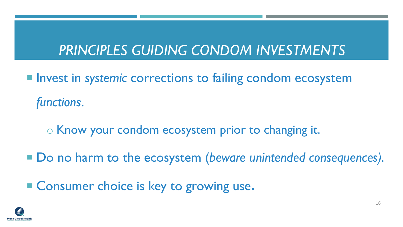# *PRINCIPLES GUIDING CONDOM INVESTMENTS*

- Invest in *systemic* corrections to failing condom ecosystem *functions*.
	- o Know your condom ecosystem prior to changing it.
- Do no harm to the ecosystem (*beware unintended consequences*).
- Consumer choice is key to growing use**.**

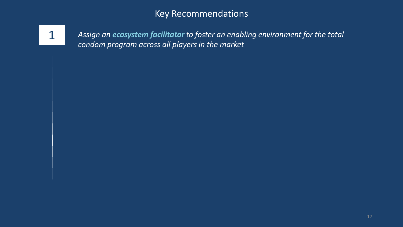1 *Assign an ecosystem facilitator to foster an enabling environment for the total condom program across all players in the market*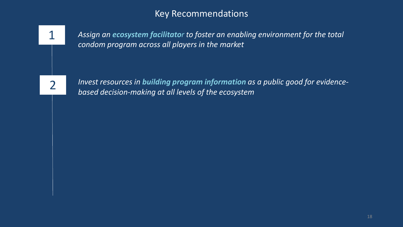

1 *Assign an ecosystem facilitato<sup>r</sup> to foster an enabling environment for the total condom program across all players in the market* 

2

*Invest resources in building program information as a public good for evidencebased decision-making at all levels of the ecosystem*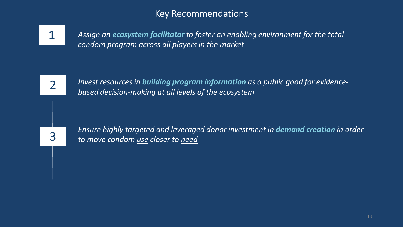

1 *Assign an ecosystem facilitator to foster an enabling environment for the total condom program across all players in the market* 

*Invest resources in building program information as a public good for evidencebased decision-making at all levels of the ecosystem*

*Ensure highly targeted and leveraged donor investment in demand creation in order to move condom use closer to need*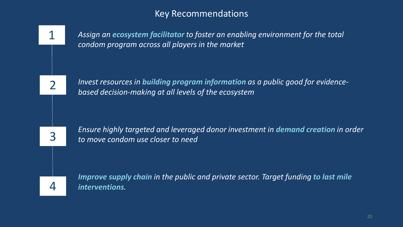

1 *Assign an ecosystem facilitator to foster an enabling environment for the total condom program across all players in the market* 

*Invest resources in building program information as a public good for evidencebased decision-making at all levels of the ecosystem*

*Ensure highly targeted and leveraged donor investment in demand creation in order to move condom use closer to need*

*Improve supply chain in the public and private sector. Target funding to last mile*  4 *interventions.*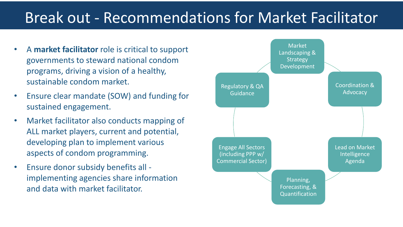## Break out - Recommendations for Market Facilitator

- A **market facilitator** role is critical to support governments to steward national condom programs, driving a vision of a healthy, sustainable condom market.
- Ensure clear mandate (SOW) and funding for sustained engagement.
- Market facilitator also conducts mapping of ALL market players, current and potential, developing plan to implement various aspects of condom programming.
- Ensure donor subsidy benefits all implementing agencies share information and data with market facilitator.